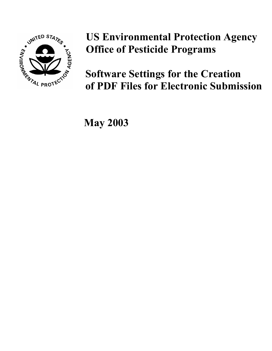

**US Environmental Protection Agency Office of Pesticide Programs**

**Software Settings for the Creation of PDF Files for Electronic Submission**

 **May 2003**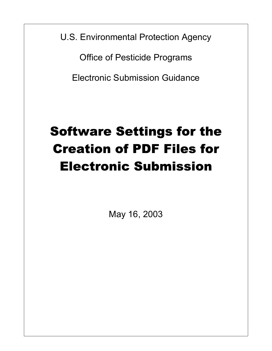U.S. Environmental Protection Agency

Office of Pesticide Programs

Electronic Submission Guidance

# Software Settings for the Creation of PDF Files for Electronic Submission

May 16, 2003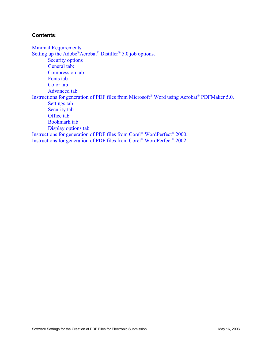#### **Contents**:

[Minimal Requirements.](#page-3-0)  [Setting up the Adobe®Acrobat® Distiller® 5.0 job options.](#page-4-0)  [Security options](#page-4-0)  [General tab:](#page-5-0)  [Compression tab](#page-6-0)  [Fonts tab](#page-7-0)  [Color tab](#page-8-0)  [Advanced tab](#page-9-0)  [Instructions for generation of PDF files from Microsoft® Word using Acrobat® PDFMaker 5.0.](#page-10-0)  [Settings tab](#page-10-0)  [Security tab](#page-11-0)  [Office tab](#page-12-0)  [Bookmark tab](#page-13-0)  [Display options tab](#page-14-0)  [Instructions for generation of PDF files from Corel® WordPerfect® 2000.](#page-15-0)  [Instructions for generation of PDF files from Corel® WordPerfect® 2002.](#page-15-0)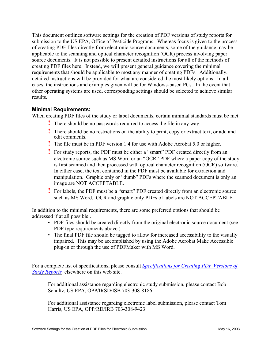<span id="page-3-0"></span>This document outlines software settings for the creation of PDF versions of study reports for submission to the US EPA, Office of Pesticide Programs. Whereas focus is given to the process of creating PDF files directly from electronic source documents, some of the guidance may be applicable to the scanning and optical character recognition (OCR) process involving paper source documents. It is not possible to present detailed instructions for all of the methods of creating PDF files here. Instead, we will present general guidance covering the minimal requirements that should be applicable to most any manner of creating PDFs. Additionally, detailed instructions will be provided for what are considered the most likely options. In all cases, the instructions and examples given will be for Windows-based PCs. In the event that other operating systems are used, corresponding settings should be selected to achieve similar results.

#### **Minimal Requirements:**

When creating PDF files of the study or label documents, certain minimal standards must be met.

- **!** There should be no passwords required to access the file in any way.
- **!** There should be no restrictions on the ability to print, copy or extract text, or add and edit comments.
- **!** The file must be in PDF version 1.4 for use with Adobe Acrobat 5.0 or higher.
- **!** For study reports, the PDF must be either a "smart" PDF created directly from an electronic source such as MS Word or an "OCR" PDF where a paper copy of the study is first scanned and then processed with optical character recognition (OCR) software. In either case, the text contained in the PDF must be available for extraction and manipulation. Graphic only or "dumb" PDFs where the scanned document is only an image are NOT ACCEPTABLE.
- **!** For labels, the PDF must be a "smart" PDF created directly from an electronic source such as MS Word. OCR and graphic only PDFs of labels are NOT ACCEPTABLE.

In addition to the minimal requirements, there are some preferred options that should be addressed if at all possible..

- PDF files should be created directly from the original electronic source document (see PDF type requirements above.)
- The final PDF file should be tagged to allow for increased accessibility to the visually impaired. This may be accomplished by using the Adobe Acrobat Make Accessible plug-in or through the use of PDFMaker with MS Word.

For a complete list of specifications, please consult *Specifications for Creating PDF Versions of Study Reports* elsewhere on this web site.

For additional assistance regarding electronic study submission, please contact Bob Schultz, US EPA, OPP/IRSD/ISB 703-308-8186.

For additional assistance regarding electronic label submission, please contact Tom Harris, US EPA, OPP/RD/IRB 703-308-9423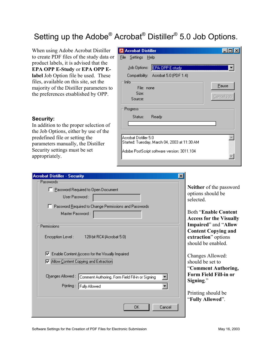# <span id="page-4-0"></span>Setting up the Adobe® Acrobat® Distiller® 5.0 Job Options.

When using Adobe Acrobat Distiller to create PDF files of the study data or product labels, it is advised that the **EPA OPP E-Study** or **EPA OPP Elabel** Job Option file be used. These files, available on this site, set the majority of the Distiller parameters to the preferences etsablished by OPP.

#### **Security:**

In addition to the proper selection of the Job Options, either by use of the predefined file or setting the parameters manually, the Distiller Security settings must be set appropriately.

| <b>Acrobat Distiller</b>                                                                                             |                     |
|----------------------------------------------------------------------------------------------------------------------|---------------------|
| <u>File S</u> ettings Help                                                                                           |                     |
| EPA OPP E-study<br>Job Options:                                                                                      |                     |
| Compatibility: Acrobat 5.0 (PDF 1.4)                                                                                 |                     |
| Info<br>File: none<br>Size:<br>Source:                                                                               | Pause<br>Cancel Job |
| Progress<br>Ready<br>Status:                                                                                         |                     |
| Acrobat Distiller 5.0<br>Started: Tuesday, March 04, 2003 at 11:30 AM<br>Adobe PostScript software version: 3011.104 |                     |

| <b>Acrobat Distiller - Security</b>                                                                 |                                                                                                 |
|-----------------------------------------------------------------------------------------------------|-------------------------------------------------------------------------------------------------|
| Passwords-                                                                                          |                                                                                                 |
| F Password Required to Open Document<br>User Password:                                              | Neither of the password<br>options should be<br>selected.                                       |
| Password Required to Change Permissions and Passwords                                               |                                                                                                 |
| Master Password:                                                                                    | <b>Both "Enable Content"</b><br><b>Access for the Visually</b>                                  |
| Permissions<br>Encryption Level:<br>128-bit RC4 (Acrobat 5.0)                                       | Impaired" and "Allow<br><b>Content Copying and</b><br>extraction" options<br>should be enabled. |
| Ⅳ Enable Content Access for the Visually Impaired                                                   | Changes Allowed:                                                                                |
| M Allow Content Copying and Extraction                                                              | should be set to                                                                                |
| Changes Allowed :<br>Comment Authoring, Form Field Fill-in or Signing<br>Printing:<br>Fully Allowed | "Comment Authoring,<br><b>Form Field Fill-in or</b><br>Signing."                                |
|                                                                                                     | Printing should be<br>"Fully Allowed".                                                          |
| 0K.<br>Cancel                                                                                       |                                                                                                 |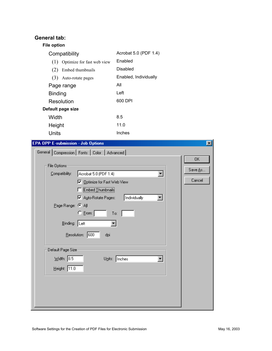## <span id="page-5-0"></span>**General tab:**

#### **File option**

| Compatibility                     | Acrobat 5.0 (PDF 1.4) |
|-----------------------------------|-----------------------|
| Optimize for fast web view<br>(1) | Enabled               |
| Embed thumbnails<br>(2)           | Disabled              |
| (3)<br>Auto-rotate pages          | Enabled, Individually |
| Page range                        | All                   |
| <b>Binding</b>                    | Left                  |
| Resolution                        | 600 DPI               |
| Default page size                 |                       |
| Width                             | 8.5                   |
| Height                            | 11.0                  |
| Units                             | Inches                |

| <b>EPA OPP E-submission - Job Options</b>        | $\vert x \vert$ |
|--------------------------------------------------|-----------------|
| General   Compression   Fonts   Color   Advanced |                 |
|                                                  | OK              |
| File Options:                                    | Save As         |
| Compatibility:<br>Acrobat 5.0 (PDF 1.4)          |                 |
| Veb View                                         | Cancel          |
| Embed Thumbnails                                 |                 |
| Individually<br>Ⅳ Auto-Rotate Pages:             |                 |
| Page Range: C All                                |                 |
| $C$ [rom: $\lceil$<br>To:                        |                 |
| Binding: Left                                    |                 |
| Resolution: 600<br>dpi                           |                 |
| Default Page Size:                               |                 |
| $W$ idth: $\sqrt{8.5}$<br>Units: Inches          |                 |
| Height: $\boxed{11.0}$                           |                 |
|                                                  |                 |
|                                                  |                 |
|                                                  |                 |
|                                                  |                 |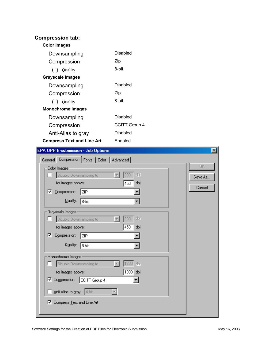#### <span id="page-6-0"></span>**Compression tab: Color Images**  Downsampling Compression (1) Quality **Grayscale Images**  Downsampling Compression (1) Quality **Monochrome Images**  Downsampling Compression Anti-Alias to gray **Compress Text and Line Art**  Disabled Zip 8-bit Disabled Zip 8-bit Disabled CCITT Group 4 Disabled Enabled

| <b>EPA OPP E-submission - Job Options</b>                                                                                                                                                                  | $\vert x \vert$          |
|------------------------------------------------------------------------------------------------------------------------------------------------------------------------------------------------------------|--------------------------|
| Compression   Fonts   Color   Advanced  <br>General                                                                                                                                                        |                          |
| Color Images:<br>dpi<br>300<br>п<br>Bicubic Downsampling to<br>for images above:<br>450<br>dpi<br>Compression:<br>罓<br>ZIP<br><b>Quality:</b><br>8-bit                                                     | ūΚ.<br>Save As<br>Cancel |
| Grayscale Images:<br>dpi<br>Bicubic Downsampling to<br>ш<br>300<br>450<br>for images above:<br>dpi<br>Compression:<br> ⊽<br>ZIP<br>Quality:<br>8-bit                                                       |                          |
| Monochrome Images:<br>1200<br>Bicubic Downsampling to<br>г<br>dpi<br> 1800 <br>for images above:<br>dpi<br>Ⅳ Compression:<br>CCITT Group 4<br>Anti-Alias to gray: 4 bit<br>Compress Text and Line Art<br>R |                          |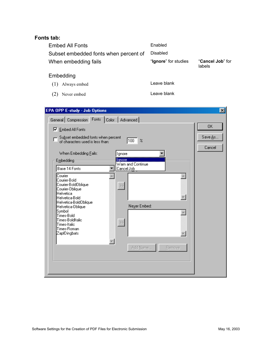## <span id="page-7-0"></span>**Fonts tab:**

| <b>Embed All Fonts</b>                | Enabled              |                            |
|---------------------------------------|----------------------|----------------------------|
| Subset embedded fonts when percent of | Disabled             |                            |
| When embedding fails                  | "Ignore" for studies | "Cancel Job" for<br>labels |

### Embedding

- (1) Always embed Leave blank
	-
- (2) Never embed Leave blank

| <b>EPA OPP E-study - Job Options</b>                                                                                                                                                                                                                                                                                    | $\mathbf{x}$            |
|-------------------------------------------------------------------------------------------------------------------------------------------------------------------------------------------------------------------------------------------------------------------------------------------------------------------------|-------------------------|
| Fonts<br>Color   Advanced  <br>General Compression<br><b>▽</b> Embed All Fonts<br>Su <u>b</u> set embedded fonts when percent<br>100<br>$\boldsymbol{\mathcal{Z}}$<br>of characters used is less than:<br>When Embedding Fails:<br>Ignore<br>lgnore<br>Embedding<br>Warn and Continue                                   | 0K<br>Save As<br>Cancel |
| Base 14 Fonts<br>Cancel Job<br>Courier<br>Courier-Bold<br>Courier-BoldOblique<br>Courier-Oblique<br>Helvetica<br>Helvetica-Bold<br>Helvetica-BoldOblique<br>Never Embed:<br>Helvetica-Oblique<br>Symbol<br>Times-Bold<br>Times-BoldItalic<br>$\gg$<br>Times-Italic<br>Times-Roman<br>ZapfDingbats<br>Add Name<br>Bemove |                         |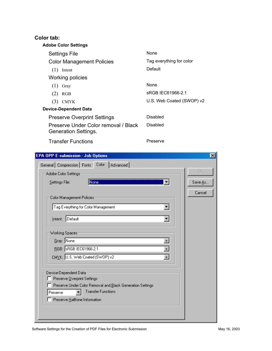## <span id="page-8-0"></span>**Color tab:**

| נשו נמש.                                                     |                           |
|--------------------------------------------------------------|---------------------------|
| <b>Adobe Color Settings</b>                                  |                           |
| Settings File                                                | None                      |
| <b>Color Management Policies</b>                             | Tag everything for color  |
| (1)<br>Intent                                                | Default                   |
| Working policies                                             |                           |
| (1)<br>Gray                                                  | None                      |
| (2)<br>RGB                                                   | sRGB IEC61966-2.1         |
| (3)<br><b>CMYK</b>                                           | U.S. Web Coated (SWOP) v2 |
| <b>Device-Dependent Data</b>                                 |                           |
| <b>Preserve Overprint Settings</b>                           | Disabled                  |
| Preserve Under Color removal / Black<br>Generation Settings. | Disabled                  |
|                                                              |                           |

Transfer Functions

Preserve

| <b>EPA OPP E-submission - Job Options</b>                  | $\vert x \vert$ |
|------------------------------------------------------------|-----------------|
| General Compression Fonts Color<br>Advanced                |                 |
| Adobe Color Settings:                                      | OK.             |
| Settings File:<br>None                                     | Save As         |
|                                                            |                 |
| Color Management Policies                                  | Cancel          |
| Tag Everything for Color Management<br>▼∣                  |                 |
|                                                            |                 |
| Intent: Default                                            |                 |
| Working Spaces:                                            |                 |
| Gray: None                                                 |                 |
| RGB: SRGB IEC61966-2.1                                     |                 |
| CMYK: U.S. Web Coated (SWOP) v2                            |                 |
|                                                            |                 |
| Device-Dependent Data                                      |                 |
| Preserve Overprint Settings                                |                 |
| Preserve Under Color Removal and Black Generation Settings |                 |
| <b>Transfer Functions</b><br>Preserve                      |                 |
| Preserve Halftone Information                              |                 |
|                                                            |                 |
|                                                            |                 |
|                                                            |                 |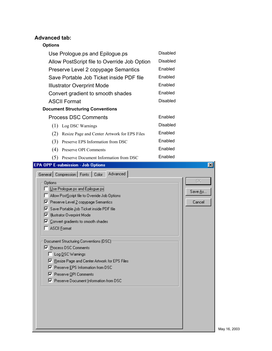## <span id="page-9-0"></span>**Advanced tab:**

## **Options**

| Use Prologue.ps and Epilogue.ps<br>Allow PostScript file to Override Job Option<br>Preserve Level 2 copypage Semantics<br>Save Portable Job Ticket inside PDF file<br><b>Illustrator Overprint Mode</b><br>Convert gradient to smooth shades<br><b>ASCII Format</b><br><b>Document Structuring Conventions</b><br><b>Process DSC Comments</b><br>(1)<br>Log DSC Warnings                                                                                                                                                                                                                                                                                            | <b>Disabled</b><br><b>Disabled</b><br>Enabled<br>Enabled<br>Enabled<br>Enabled<br><b>Disabled</b><br>Enabled<br><b>Disabled</b> |                               |
|---------------------------------------------------------------------------------------------------------------------------------------------------------------------------------------------------------------------------------------------------------------------------------------------------------------------------------------------------------------------------------------------------------------------------------------------------------------------------------------------------------------------------------------------------------------------------------------------------------------------------------------------------------------------|---------------------------------------------------------------------------------------------------------------------------------|-------------------------------|
| (2)<br>Resize Page and Center Artwork for EPS Files                                                                                                                                                                                                                                                                                                                                                                                                                                                                                                                                                                                                                 | Enabled                                                                                                                         |                               |
| (3)<br>Preserve EPS Information from DSC                                                                                                                                                                                                                                                                                                                                                                                                                                                                                                                                                                                                                            | Enabled                                                                                                                         |                               |
| (4)<br>Preserve OPI Comments                                                                                                                                                                                                                                                                                                                                                                                                                                                                                                                                                                                                                                        | Enabled                                                                                                                         |                               |
| (5)<br>Preserve Document Information from DSC                                                                                                                                                                                                                                                                                                                                                                                                                                                                                                                                                                                                                       | Enabled                                                                                                                         |                               |
| <b>EPA OPP E-submission - Job Options</b><br>Advanced<br>General Compression Fonts Color<br>Options<br>Use Prologue.ps and Epilogue.ps<br>Allow PostScript file to Override Job Options<br>Ⅳ Preserve Level 2 copypage Semantics<br>Save Portable Job Ticket inside PDF file<br>⊽<br>Illustrator Overprint Mode<br>↜<br>Ⅳ Convert gradients to smooth shades<br><b>ASCII Format</b><br>Document Structuring Conventions (DSC):<br><b>▽</b> Process DSC Comments<br>□ Log DSC Warnings<br>Ⅳ Resize Page and Center Artwork for EPS Files<br><b>▽</b> Preserve EPS Information from DSC<br><b>▽</b> Preserve OPI Comments<br>Ⅳ Preserve Document Information from DSC |                                                                                                                                 | ⊠<br>OK.<br>Save As<br>Cancel |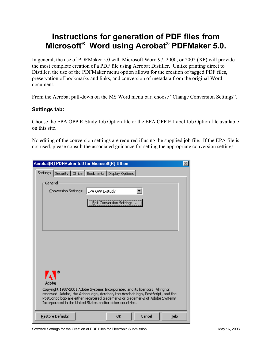# <span id="page-10-0"></span>**Instructions for generation of PDF files from Microsoft® Word using Acrobat® PDFMaker 5.0.**

In general, the use of PDFMaker 5.0 with Microsoft Word 97, 2000, or 2002 (XP) will provide the most complete creation of a PDF file using Acrobat Distiller. Unlike printing direct to Distiller, the use of the PDFMaker menu option allows for the creation of tagged PDF files, preservation of bookmarks and links, and conversion of metadata from the original Word document.

From the Acrobat pull-down on the MS Word menu bar, choose "Change Conversion Settings".

#### **Settings tab:**

Choose the EPA OPP E-Study Job Option file or the EPA OPP E-Label Job Option file available on this site.

No editing of the conversion settings are required if using the supplied job file. If the EPA file is not used, please consult the associated guidance for setting the appropriate conversion settings.

| Acrobat(R) PDFMaker 5.0 for Microsoft(R) Office                                                                                                                                                                                                                                                                 | $\vert x \vert$ |
|-----------------------------------------------------------------------------------------------------------------------------------------------------------------------------------------------------------------------------------------------------------------------------------------------------------------|-----------------|
| Settings   Security   Office   Bookmarks   Display Options                                                                                                                                                                                                                                                      |                 |
| General<br>EPA OPP E-study<br>Conversion Settings:<br>Edit Conversion Settings                                                                                                                                                                                                                                  |                 |
| Adobe                                                                                                                                                                                                                                                                                                           |                 |
| Copyright 1987-2001 Adobe Systems Incorporated and its licensors. All rights<br>reserved. Adobe, the Adobe logo, Acrobat, the Acrobat logo, PostScript, and the<br>PostScript logo are either registered trademarks or trademarks of Adobe Systems<br>Incorporated in the United States and/or other countries. |                 |
| Restore Defaults<br>Help<br>ОK<br>Cancel                                                                                                                                                                                                                                                                        |                 |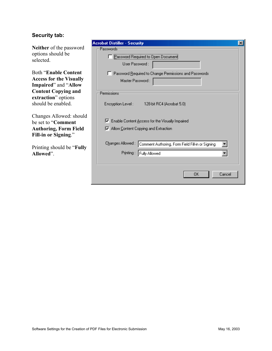#### <span id="page-11-0"></span>**Security tab:**

**Neither** of the password options should be selected.

Both "**Enable Content Access for the Visually Impaired**" and "**Allow Content Copying and extraction**" options should be enabled.

Changes Allowed: should be set to "**Comment Authoring, Form Field Fill-in or Signing**."

Printing should be "**Fully Allowed**".

| <b>Acrobat Distiller - Security</b><br>×<br>Passwords-                |
|-----------------------------------------------------------------------|
| Password Required to Open Document                                    |
| User Password:                                                        |
| F Password Required to Change Permissions and Passwords               |
| Master Password:                                                      |
| Permissions                                                           |
| Encryption Level: 128-bit RC4 (Acrobat 5.0)                           |
| ☞<br>Enable Content Access for the Visually Impaired                  |
| Ⅳ Allow Content Copying and Extraction                                |
| Changes Allowed :<br>Comment Authoring, Form Field Fill-in or Signing |
| Fully Allowed<br>Printing:                                            |
|                                                                       |
| Cancel<br>OΚ                                                          |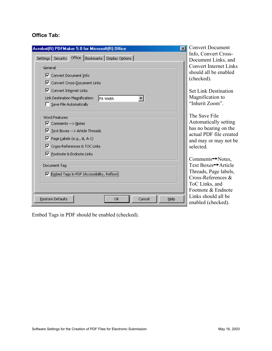## <span id="page-12-0"></span>**Office Tab:**

| Acrobat(R) PDFMaker 5.0 for Microsoft(R) Office<br>$\vert x \vert$                                                                                                                                   | <b>Convert Document</b>                                                                                                                      |  |  |
|------------------------------------------------------------------------------------------------------------------------------------------------------------------------------------------------------|----------------------------------------------------------------------------------------------------------------------------------------------|--|--|
| Settings   Security Office   Bookmarks   Display Options  <br>General<br>Ⅳ Convert Document Info<br><b>▽</b> Convert Cross-Document Links                                                            | Info, Convert Cross-<br>Document Links, and<br><b>Convert Internet Links</b><br>should all be enabled<br>(checked).                          |  |  |
| $\nabla$ Convert Internet Links<br>Link Destination Magnification:<br>Fit Width<br>Save File Automatically                                                                                           | <b>Set Link Destination</b><br>Magnification to<br>"Inherit Zoom".                                                                           |  |  |
| <b>Word Features</b><br>$\nabla$ Comments -- > Notes<br>$\overline{\triangledown}$ Text Boxes -- > Article Threads<br>$\triangledown$ Page Labels (e.g., iii, A-1)<br>Ⅳ Cross-References & TOC Links | The Save File<br>Automatically setting<br>has no bearing on the<br>actual PDF file created<br>and may or may not be<br>selected.             |  |  |
| Ⅳ Footnote & Endnote Links<br>Document Tag<br>Embed Tags in PDF (Accessibility, Reflow)                                                                                                              | $Comments \rightarrow Notes$ ,<br>Text Boxes→ Article<br>Threads, Page labels,<br>Cross-References &<br>ToC Links, and<br>Footnote & Endnote |  |  |
| Restore Defaults<br>Cancel<br>Help<br>OK.                                                                                                                                                            | Links should all be<br>enabled (checked).                                                                                                    |  |  |

Embed Tags in PDF should be enabled (checked).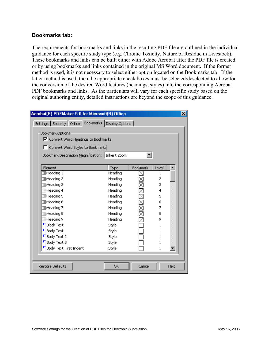#### <span id="page-13-0"></span>**Bookmarks tab:**

The requirements for bookmarks and links in the resulting PDF file are outlined in the individual guidance for each specific study type (e.g. Chronic Toxicity, Nature of Residue in Livestock). These bookmarks and links can be built either with Adobe Acrobat after the PDF file is created or by using bookmarks and links contained in the original MS Word document. If the former method is used, it is not necessary to select either option located on the Bookmarks tab. If the latter method is used, then the appropriate check boxes must be selected/deselected to allow for the conversion of the desired Word features (headings, styles) into the corresponding Acrobat PDF bookmarks and links. As the particulars will vary for each specific study based on the original authoring entity, detailed instructions are beyond the scope of this guidance.

| Acrobat(R) PDFMaker 5.0 for Microsoft(R) Office            |         |                 |       | ×    |  |
|------------------------------------------------------------|---------|-----------------|-------|------|--|
| Settings   Security   Office   Bookmarks   Display Options |         |                 |       |      |  |
|                                                            |         |                 |       |      |  |
| Bookmark Options<br>Ⅳ Convert Word Headings to Bookmarks   |         |                 |       |      |  |
|                                                            |         |                 |       |      |  |
| Convert Word Styles to Bookmarks                           |         |                 |       |      |  |
| Bookmark Destination Magnification:   Inherit Zoom         |         |                 |       |      |  |
|                                                            |         |                 |       |      |  |
| Element                                                    | Type    | Bookmark        | Level |      |  |
| Heading 1                                                  | Heading | ×               | 1     |      |  |
| 置Heading 2                                                 | Heading |                 | 2     |      |  |
| 国Heading 3                                                 | Heading | <b>LUXXXXXX</b> | 3     |      |  |
| EHeading 4                                                 | Heading |                 | 4     |      |  |
| 置Heading 5                                                 | Heading |                 | 5     |      |  |
| 置Heading 6                                                 | Heading |                 | 6     |      |  |
| 置Heading 7                                                 | Heading |                 | 7     |      |  |
| EHeading 8                                                 | Heading |                 | 8     |      |  |
| 国Heading 9                                                 | Heading |                 | 9     |      |  |
| <mark>∏</mark> Block Text                                  | Style   |                 |       |      |  |
| Body Text                                                  | Style   |                 |       |      |  |
| Body Text 2                                                | Style   |                 |       |      |  |
| Body Text 3                                                | Style   |                 |       |      |  |
| Body Text First Indent                                     | Style   |                 |       |      |  |
|                                                            |         |                 |       |      |  |
|                                                            |         |                 |       |      |  |
| Restore Defaults                                           | OK.     | Cancel          |       | Help |  |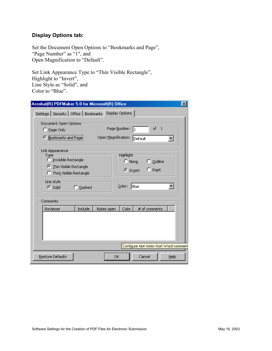#### <span id="page-14-0"></span>**Display Options tab:**

Set the Document Open Options to "Bookmarks and Page", "Page Number" as "1", and Open Magnification to "Default".

Set Link Appearance Type to "Thin Visible Rectangle", Highlight to "Invert", Line Style as "Solid", and Color to "Blue".

| Settings   Security   Office   Bookmarks   Display Options  <br>Document Open Options<br>of<br>Page Number:<br>$\overline{1}$<br>11<br>C Page Only<br>C Bookmarks and Page<br>Open Magnification:<br>Default<br>Link Appearance<br>Highlight<br>Type<br>C Invisible Rectangle<br>$\degree$ Outline<br>$\cap$ None<br><b>C</b> Thin Visible Rectangle<br>$\bigcirc$ Inset<br>© In <u>v</u> ert<br>C Thick Visible Rectangle<br>Line style<br>Color:<br>Blue<br>C Dashed<br>G Solid<br>Comments<br>Include<br>Color<br># of comments<br>Reviewer<br>Notes open | Acrobat(R) PDFMaker 5.0 for Microsoft(R) Office<br>$\vert x \vert$ |
|--------------------------------------------------------------------------------------------------------------------------------------------------------------------------------------------------------------------------------------------------------------------------------------------------------------------------------------------------------------------------------------------------------------------------------------------------------------------------------------------------------------------------------------------------------------|--------------------------------------------------------------------|
| Configure text notes from Word comment                                                                                                                                                                                                                                                                                                                                                                                                                                                                                                                       |                                                                    |
|                                                                                                                                                                                                                                                                                                                                                                                                                                                                                                                                                              |                                                                    |
|                                                                                                                                                                                                                                                                                                                                                                                                                                                                                                                                                              |                                                                    |
|                                                                                                                                                                                                                                                                                                                                                                                                                                                                                                                                                              |                                                                    |
| Restore Defaults<br>Cancel<br>Help<br>ОK                                                                                                                                                                                                                                                                                                                                                                                                                                                                                                                     |                                                                    |